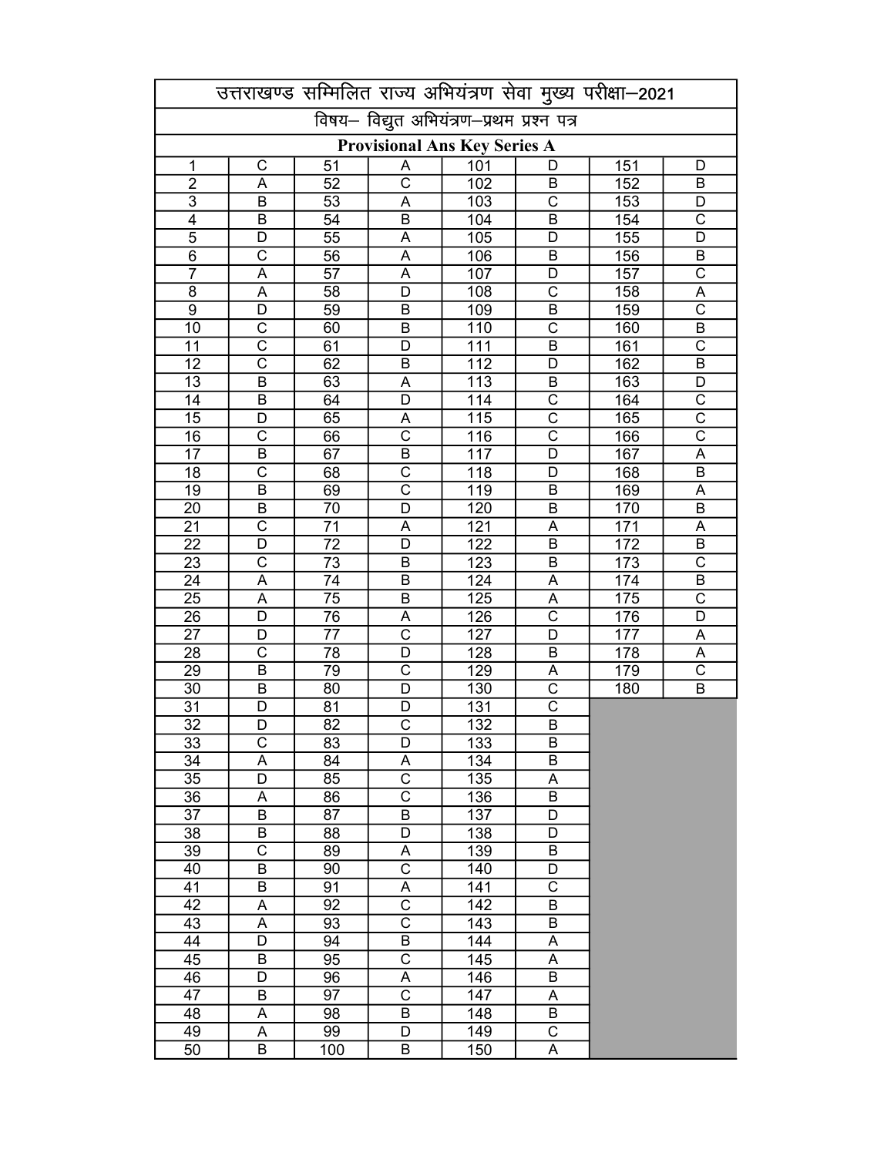|                                     |                            |                 |                                           |                         |                                                | उत्तराखण्ड सम्मिलित राज्य अभियंत्रण सेवा मुख्य परीक्षा-2021 |                                                |  |
|-------------------------------------|----------------------------|-----------------|-------------------------------------------|-------------------------|------------------------------------------------|-------------------------------------------------------------|------------------------------------------------|--|
|                                     |                            |                 | विषय- विद्युत अभियंत्रण-प्रथम प्रश्न पत्र |                         |                                                |                                                             |                                                |  |
| <b>Provisional Ans Key Series A</b> |                            |                 |                                           |                         |                                                |                                                             |                                                |  |
| 1                                   | $\mathsf C$                | 51              | A                                         | 101                     | D                                              | 151                                                         | D                                              |  |
| $\overline{2}$                      | A                          | 52              | $\overline{\text{c}}$                     | 102                     | В                                              | 152                                                         | В                                              |  |
| $\overline{3}$                      | $\overline{B}$             | 53              | A                                         | 103                     | $\overline{\text{c}}$                          | 153                                                         | D                                              |  |
| $\overline{4}$                      | B                          | 54              | B                                         | 104                     | B                                              | 154                                                         | $\overline{\text{c}}$                          |  |
| $\overline{5}$                      | D                          | $\overline{55}$ | A                                         | 105                     | D                                              | 155                                                         | D                                              |  |
| $\overline{6}$                      | $\overline{\text{c}}$      | $\overline{56}$ | $\overline{A}$                            | 106                     | $\overline{\mathsf{B}}$                        | 156                                                         | $\overline{B}$                                 |  |
| $\overline{7}$                      | $\overline{A}$             | $\overline{57}$ | $\overline{A}$                            | 107                     | D                                              | 157                                                         | $\overline{\text{c}}$                          |  |
| $\overline{8}$                      | $\overline{A}$             | 58              | $\overline{D}$                            | 108                     | $\overline{\text{c}}$                          | 158                                                         | $\overline{A}$                                 |  |
| $\overline{9}$                      | $\overline{D}$             | 59              | $\overline{B}$                            | 109                     | $\overline{\mathsf{B}}$                        | 159                                                         | $\overline{\text{c}}$                          |  |
| 10                                  | $\overline{\text{c}}$      | 60              | $\overline{B}$                            | 110                     | $\overline{\text{c}}$                          | 160                                                         | $\overline{B}$                                 |  |
| 11                                  | $\overline{\text{c}}$      | 61              | $\overline{D}$                            | $\overline{111}$        | $\overline{B}$                                 | 161                                                         | $\overline{\text{c}}$                          |  |
| 12                                  | $\overline{\text{c}}$      | 62              | $\overline{B}$                            | 112                     | D                                              | 162                                                         | $\overline{B}$                                 |  |
| 13                                  | $\overline{B}$             | 63              | A                                         | $\overline{113}$        | B                                              | 163                                                         | $\overline{D}$                                 |  |
| 14                                  | $\overline{B}$             | 64              | $\overline{\mathsf{D}}$                   | 114                     | $\overline{\text{c}}$                          | 164                                                         | $\overline{\text{c}}$                          |  |
| 15                                  | D<br>$\overline{\text{c}}$ | 65              | A<br>$\overline{\text{c}}$                | 115                     | $\overline{\text{c}}$<br>$\overline{\text{c}}$ | 165                                                         | $\overline{\text{c}}$<br>$\overline{\text{c}}$ |  |
| 16                                  | B                          | 66              | $\overline{B}$                            | 116                     | $\overline{\mathsf{D}}$                        | 166                                                         |                                                |  |
| 17                                  | $\overline{\text{c}}$      | 67              | $\overline{\text{c}}$                     | 117<br>$\overline{118}$ | D                                              | 167                                                         | $\overline{A}$<br>B                            |  |
| 18<br>19                            | B                          | 68              | $\overline{\text{c}}$                     | 119                     | B                                              | 168                                                         | A                                              |  |
| 20                                  | B                          | 69<br>70        | $\overline{\mathsf{D}}$                   | 120                     | B                                              | 169<br>170                                                  | B                                              |  |
| $\overline{21}$                     | $\overline{\text{c}}$      | 71              | A                                         | $\overline{121}$        | A                                              | 171                                                         | A                                              |  |
| 22                                  | D                          | 72              | D                                         | 122                     | B                                              | 172                                                         | B                                              |  |
| 23                                  | $\overline{\text{c}}$      | 73              | B                                         | $\overline{123}$        | B                                              | 173                                                         | $\overline{\text{c}}$                          |  |
| 24                                  | A                          | 74              | B                                         | 124                     | A                                              | 174                                                         | B                                              |  |
| 25                                  | A                          | 75              | B                                         | 125                     | A                                              | 175                                                         | $\overline{\mathrm{c}}$                        |  |
| 26                                  | D                          | 76              | A                                         | $\overline{126}$        | $\overline{\text{c}}$                          | 176                                                         | D                                              |  |
| 27                                  | D                          | 77              | $\overline{\text{c}}$                     | 127                     | D                                              | 177                                                         | A                                              |  |
| 28                                  | $\overline{\text{c}}$      | 78              | D                                         | 128                     | B                                              | 178                                                         | A                                              |  |
| 29                                  | B                          | 79              | C                                         | $\overline{129}$        | A                                              | 179                                                         | $\mathsf{C}$                                   |  |
| 30                                  | B                          | 80              | D                                         | 130                     | $\overline{\text{c}}$                          | 180                                                         | B                                              |  |
| 31                                  | D                          | 81              | D                                         | 131                     | $\overline{\mathsf{c}}$                        |                                                             |                                                |  |
| $\overline{32}$                     | $\overline{D}$             | $\overline{82}$ | $\overline{\text{c}}$                     | $\overline{132}$        | $\overline{\mathsf{B}}$                        |                                                             |                                                |  |
| 33                                  | C                          | 83              | D                                         | 133                     | B                                              |                                                             |                                                |  |
| 34                                  | A                          | 84              | A                                         | 134                     | $\overline{B}$                                 |                                                             |                                                |  |
| 35                                  | $\overline{D}$             | 85              | $\overline{\text{c}}$                     | 135                     | Α                                              |                                                             |                                                |  |
| 36                                  | A                          | 86              | $\overline{\text{c}}$                     | 136                     | $\overline{B}$                                 |                                                             |                                                |  |
| 37                                  | $\overline{B}$             | 87              | $\overline{B}$                            | 137                     | D                                              |                                                             |                                                |  |
| 38                                  | B                          | 88              | D                                         | 138                     | D                                              |                                                             |                                                |  |
| 39                                  | $\overline{\text{C}}$      | 89              | A                                         | 139                     | В                                              |                                                             |                                                |  |
| 40                                  | $\sf B$                    | 90              | $\overline{\text{c}}$                     | 140                     | D                                              |                                                             |                                                |  |
| 41                                  | B                          | 91              | A                                         | 141                     | $\overline{C}$                                 |                                                             |                                                |  |
| 42                                  | A                          | 92              | $\overline{\text{c}}$                     | 142                     | Β                                              |                                                             |                                                |  |
| 43                                  | A                          | 93              | $\overline{\text{C}}$                     | 143                     | Β                                              |                                                             |                                                |  |
| 44                                  | D                          | 94              | $\sf B$                                   | 144                     | A                                              |                                                             |                                                |  |
| 45                                  | B                          | 95              | $\overline{\text{c}}$                     | 145                     | A                                              |                                                             |                                                |  |
| 46                                  | D                          | 96              | A                                         | 146                     | B                                              |                                                             |                                                |  |
| 47                                  | $\sf B$                    | 97              | $\overline{\text{c}}$                     | 147                     | A                                              |                                                             |                                                |  |
| 48                                  | A                          | 98              | B                                         | 148                     | B                                              |                                                             |                                                |  |
| 49                                  | A                          | 99              | D                                         | 149                     | $\overline{\text{c}}$                          |                                                             |                                                |  |
| 50                                  | B                          | 100             | B                                         | 150                     | A                                              |                                                             |                                                |  |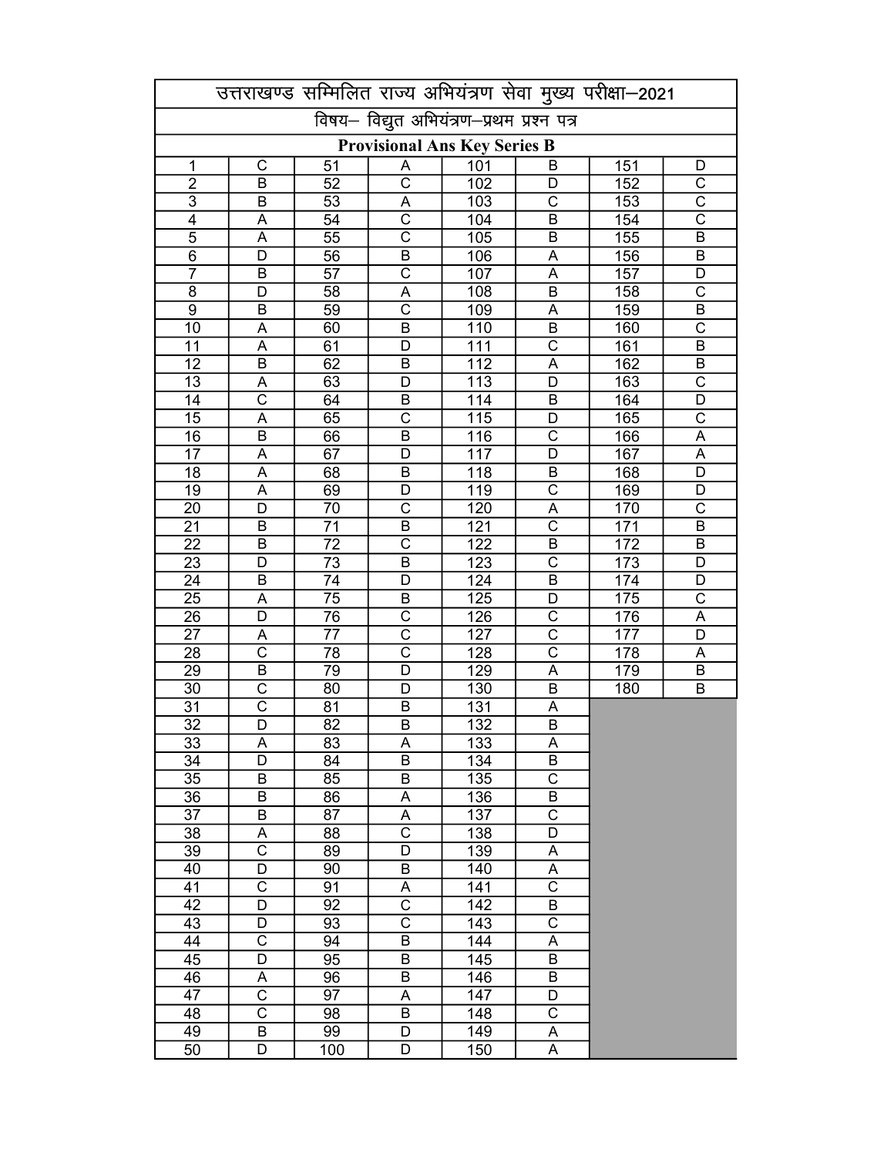|                 |                            |                 |                                           |                         |                            | उत्तराखण्ड सम्मिलित राज्य अभियंत्रण सेवा मुख्य परीक्षा-2021 |                         |
|-----------------|----------------------------|-----------------|-------------------------------------------|-------------------------|----------------------------|-------------------------------------------------------------|-------------------------|
|                 |                            |                 | विषय- विद्युत अभियंत्रण-प्रथम प्रश्न पत्र |                         |                            |                                                             |                         |
|                 |                            |                 | <b>Provisional Ans Key Series B</b>       |                         |                            |                                                             |                         |
| 1               | $\mathsf C$                | 51              | A                                         | 101                     | B                          | 151                                                         | D                       |
| $\overline{2}$  | B                          | 52              | $\overline{\text{c}}$                     | 102                     | D                          | 152                                                         | $\mathsf{C}$            |
| $\overline{3}$  | B                          | 53              | A                                         | 103                     | $\overline{\text{c}}$      | 153                                                         | $\overline{\text{c}}$   |
| $\overline{4}$  | A                          | 54              | $\overline{\text{c}}$                     | 104                     | B                          | 154                                                         | $\overline{\text{c}}$   |
| $\overline{5}$  | A                          | $\overline{55}$ | $\overline{\text{c}}$                     | 105                     | B                          | 155                                                         | B                       |
| $\overline{6}$  | $\overline{\mathsf{D}}$    | $\overline{56}$ | $\overline{B}$                            | 106                     | A                          | 156                                                         | $\overline{B}$          |
| $\overline{7}$  | $\overline{B}$             | $\overline{57}$ | $\overline{\text{c}}$                     | 107                     | $\overline{\mathsf{A}}$    | 157                                                         | $\overline{D}$          |
| $\overline{8}$  | $\overline{D}$             | 58              | $\overline{A}$                            | 108                     | $\overline{B}$             | 158                                                         | $\overline{\text{c}}$   |
| $\overline{9}$  | $\overline{B}$             | 59              | $\overline{\text{c}}$                     | 109                     | A                          | 159                                                         | $\overline{B}$          |
| 10              | A                          | 60              | $\overline{B}$                            | 110                     | $\overline{B}$             | 160                                                         | $\overline{\text{c}}$   |
| 11              | $\overline{A}$             | 61              | D                                         | $\overline{111}$        | $\overline{\text{c}}$      | 161                                                         | $\overline{B}$          |
| 12              | $\overline{B}$             | 62              | $\overline{B}$                            | $\overline{112}$        | $\overline{A}$             | 162                                                         | $\overline{B}$          |
| 13              | A                          | 63              | D                                         | $\overline{113}$        | $\overline{D}$             | 163                                                         | $\overline{\text{c}}$   |
| 14              | $\overline{\text{c}}$      | 64              | $\overline{B}$                            | 114                     | $\overline{B}$             | 164                                                         | $\overline{D}$          |
| 15              | $\overline{\mathsf{A}}$    | 65              | $\overline{\text{c}}$                     | 115                     | D                          | 165                                                         | $\overline{\text{c}}$   |
| 16              | B                          | 66              | B                                         | 116                     | $\overline{\text{c}}$      | 166                                                         | $\overline{A}$          |
| 17              | A                          | 67              | D                                         | 117                     | $\overline{\mathsf{D}}$    | 167                                                         | $\overline{A}$          |
| 18              | A                          | 68              | B                                         | $\overline{118}$        | B                          | 168                                                         | $\overline{\mathsf{D}}$ |
| 19              | A                          | 69              | D                                         | 119                     | $\overline{\text{c}}$      | 169                                                         | D                       |
| 20              | D                          | 70              | $\overline{\text{c}}$                     | 120                     | $\overline{\mathsf{A}}$    | 170                                                         | $\overline{\text{c}}$   |
| $\overline{21}$ | B                          | 71              | $\overline{B}$                            | $\overline{121}$        | $\overline{\text{c}}$      | 171                                                         | B                       |
| 22              | B                          | 72              | $\overline{\text{c}}$                     | 122                     | B                          | 172                                                         | B                       |
| 23              | D                          | 73              | B                                         | $\overline{123}$        | $\overline{\text{c}}$      | 173                                                         | D                       |
| 24              | B                          | 74              | D                                         | 124                     | B                          | 174                                                         | D                       |
| 25              | A<br>D                     | 75              | B<br>$\overline{\text{c}}$                | 125                     | D<br>$\overline{\text{c}}$ | 175                                                         | $\overline{\mathrm{c}}$ |
| 26              |                            | 76              | C                                         | $\overline{126}$<br>127 | $\overline{\text{c}}$      | 176                                                         | A<br>D                  |
| 27              | Α<br>$\overline{\text{c}}$ | 77<br>78        | $\overline{\text{c}}$                     | 128                     | $\overline{\text{c}}$      | 177<br>178                                                  | A                       |
| 28<br>29        | $\sf B$                    | 79              | D                                         | 129                     | A                          | 179                                                         | B                       |
| 30              | $\overline{\text{c}}$      | 80              | D                                         | 130                     | B                          | 180                                                         | $\mathsf B$             |
| 31              | $\overline{\text{c}}$      | 81              | B                                         | 131                     | A                          |                                                             |                         |
| $\overline{32}$ | $\overline{\mathsf{D}}$    | $\overline{82}$ | $\overline{\mathsf{B}}$                   | $\overline{132}$        | $\overline{\mathsf{B}}$    |                                                             |                         |
| 33              | Α                          | 83              | A                                         | 133                     | Α                          |                                                             |                         |
| 34              | $\overline{D}$             | 84              | $\overline{\mathsf{B}}$                   | 134                     | $\overline{\mathsf{B}}$    |                                                             |                         |
| 35              | B                          | 85              | B                                         | 135                     | $\overline{\text{c}}$      |                                                             |                         |
| 36              | В                          | 86              | A                                         | 136                     | $\overline{\mathsf{B}}$    |                                                             |                         |
| 37              | B                          | 87              | A                                         | 137                     | $\overline{\text{c}}$      |                                                             |                         |
| 38              | Α                          | 88              | $\overline{\text{c}}$                     | 138                     | $\overline{D}$             |                                                             |                         |
| 39              | $\overline{\text{c}}$      | 89              | D                                         | 139                     | A                          |                                                             |                         |
| 40              | D                          | 90              | B                                         | 140                     | Α                          |                                                             |                         |
| 41              | $\mathsf C$                | 91              | Α                                         | 141                     | $\overline{\text{c}}$      |                                                             |                         |
| 42              | D                          | 92              | $\overline{\mathrm{C}}$                   | 142                     | В                          |                                                             |                         |
| 43              | D                          | 93              | $\overline{\text{c}}$                     | 143                     | C                          |                                                             |                         |
| 44              | C                          | 94              | $\sf B$                                   | 144                     | Α                          |                                                             |                         |
| 45              | D                          | 95              | $\sf B$                                   | 145                     | B                          |                                                             |                         |
| 46              | A                          | 96              | $\sf B$                                   | 146                     | B                          |                                                             |                         |
| 47              | $\overline{\text{c}}$      | 97              | A                                         | 147                     | D                          |                                                             |                         |
| 48              | $\overline{\text{c}}$      | 98              | B                                         | 148                     | $\overline{\text{c}}$      |                                                             |                         |
| 49              | B                          | 99              | D                                         | 149                     | A                          |                                                             |                         |
| 50              | D                          | 100             | D                                         | 150                     | A                          |                                                             |                         |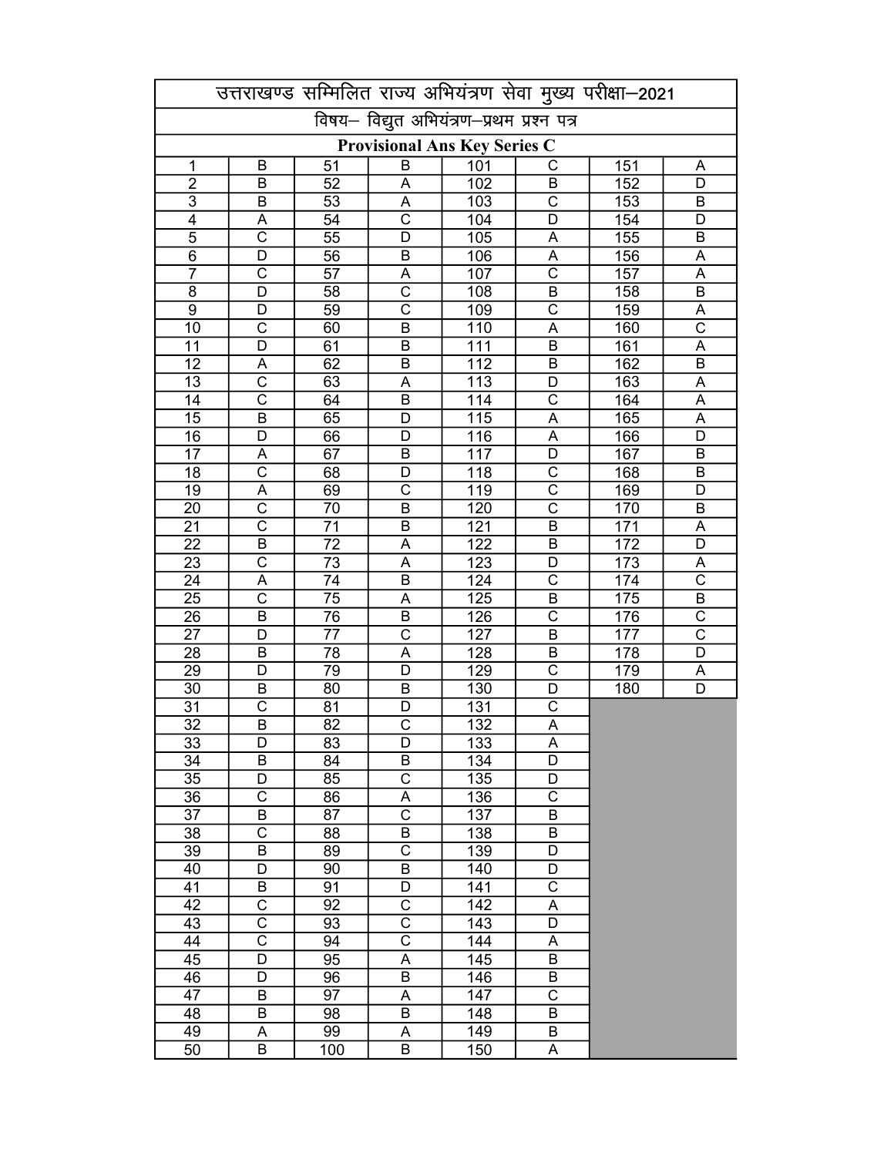|                                     |                         |                 |                                           |                  |                              | उत्तराखण्ड सम्मिलित राज्य अभियंत्रण सेवा मुख्य परीक्षा-2021 |                            |  |
|-------------------------------------|-------------------------|-----------------|-------------------------------------------|------------------|------------------------------|-------------------------------------------------------------|----------------------------|--|
|                                     |                         |                 | विषय- विद्युत अभियंत्रण-प्रथम प्रश्न पत्र |                  |                              |                                                             |                            |  |
| <b>Provisional Ans Key Series C</b> |                         |                 |                                           |                  |                              |                                                             |                            |  |
| 1                                   | B                       | 51              | B                                         | 101              | C                            | 151                                                         | A                          |  |
| $\overline{2}$                      | B                       | 52              | Α                                         | 102              | B                            | 152                                                         | D                          |  |
| $\overline{3}$                      | B                       | 53              | A                                         | 103              | $\overline{\text{c}}$        | 153                                                         | B                          |  |
| $\overline{4}$                      | A                       | 54              | $\overline{\text{c}}$                     | 104              | D                            | 154                                                         | D                          |  |
| $\overline{5}$                      | $\overline{\text{c}}$   | $\overline{55}$ | $\overline{\mathsf{D}}$                   | 105              | A                            | 155                                                         | B                          |  |
| $\overline{6}$                      | $\overline{\mathsf{D}}$ | $\overline{56}$ | $\overline{B}$                            | 106              | $\overline{\mathsf{A}}$      | 156                                                         | $\overline{A}$             |  |
| $\overline{7}$                      | $\overline{\text{c}}$   | $\overline{57}$ | A                                         | 107              | $\overline{\text{c}}$        | 157                                                         | $\overline{\mathsf{A}}$    |  |
| 8                                   | $\overline{D}$          | 58              | $\overline{\text{c}}$                     | 108              | $\overline{\mathsf{B}}$      | 158                                                         | $\overline{B}$             |  |
| $\overline{9}$                      | $\overline{D}$          | 59              | $\overline{\text{c}}$                     | 109              | $\overline{\text{c}}$        | 159                                                         | $\overline{A}$             |  |
| 10                                  | $\overline{\text{c}}$   | 60              | $\overline{B}$                            | 110              | A                            | 160                                                         | $\overline{\text{c}}$      |  |
| 11                                  | $\overline{D}$          | 61              | $\overline{B}$                            | $\overline{111}$ | $\overline{B}$               | 161                                                         | $\overline{A}$             |  |
| 12                                  | A                       | 62              | $\overline{B}$                            | 112              | $\overline{B}$               | 162                                                         | $\overline{B}$             |  |
| 13                                  | $\overline{\text{c}}$   | 63              | A                                         | $\overline{113}$ | $\overline{D}$               | 163                                                         | $\overline{A}$             |  |
| 14                                  | $\overline{\text{c}}$   | 64              | $\overline{B}$                            | 114              | $\overline{\text{c}}$        | 164                                                         | $\overline{A}$             |  |
| 15                                  | B                       | 65              | D                                         | 115              | $\overline{\mathsf{A}}$      | 165                                                         | $\overline{A}$             |  |
| 16                                  | D                       | 66              | D                                         | 116              | $\overline{A}$               | 166                                                         | D                          |  |
| 17                                  | A                       | 67              | B                                         | 117              | D                            | 167                                                         | B                          |  |
| 18                                  | $\overline{\text{c}}$   | 68              | D                                         | 118              | $\overline{\text{c}}$        | 168                                                         | B                          |  |
| 19                                  | A                       | 69              | C                                         | 119              | $\overline{\text{c}}$        | 169                                                         | D                          |  |
| 20                                  | $\overline{\text{c}}$   | 70              | $\overline{B}$                            | 120              | $\overline{\text{c}}$        | 170                                                         | B                          |  |
| $\overline{21}$                     | $\overline{\text{c}}$   | 71              | B                                         | $\overline{121}$ | $\overline{\mathsf{B}}$      | 171                                                         | A                          |  |
| 22                                  | $\overline{B}$          | 72              | A                                         | 122              | B                            | 172                                                         | D                          |  |
| 23                                  | $\overline{\text{c}}$   | 73              | A                                         | $\overline{123}$ | D                            | 173                                                         | A                          |  |
| 24                                  | A                       | 74              | B                                         | 124              | $\overline{\text{c}}$        | 174                                                         | $\overline{\text{c}}$      |  |
| 25                                  | $\overline{\text{c}}$   | 75              | A                                         | 125              | B<br>$\overline{\mathsf{c}}$ | 175                                                         | B<br>$\overline{\text{c}}$ |  |
| 26                                  | B                       | 76              | B                                         | $\overline{126}$ |                              | 176                                                         | $\overline{\text{c}}$      |  |
| 27                                  | D<br>B                  | 77              | C<br>A                                    | 127<br>128       | B<br>B                       | 177                                                         | $\overline{D}$             |  |
| 28<br>29                            | D                       | 78<br>79        | D                                         | 129              | C                            | 178<br>179                                                  | A                          |  |
| $\overline{30}$                     | B                       | 80              | B                                         | 130              | D                            | 180                                                         | $\overline{D}$             |  |
| 31                                  | $\overline{\text{c}}$   | 81              | D                                         | 131              | $\overline{\text{c}}$        |                                                             |                            |  |
| $\overline{32}$                     | $\overline{\mathsf{B}}$ | $\overline{82}$ | $\overline{\text{c}}$                     | $\overline{132}$ | $\overline{\mathsf{A}}$      |                                                             |                            |  |
| 33                                  | D                       | 83              | D                                         | 133              | A                            |                                                             |                            |  |
| 34                                  | $\overline{\mathsf{B}}$ | 84              | $\overline{B}$                            | 134              | $\overline{\mathsf{D}}$      |                                                             |                            |  |
| 35                                  | D                       | 85              | $\overline{\mathrm{C}}$                   | 135              | D                            |                                                             |                            |  |
| 36                                  | $\overline{\text{c}}$   | 86              | $\overline{\mathsf{A}}$                   | 136              | $\overline{\text{c}}$        |                                                             |                            |  |
| 37                                  | $\overline{B}$          | 87              | $\overline{\text{c}}$                     | 137              | $\overline{B}$               |                                                             |                            |  |
| 38                                  | $\overline{\text{c}}$   | 88              | $\overline{B}$                            | 138              | B                            |                                                             |                            |  |
| 39                                  | $\sf B$                 | 89              | $\overline{\text{c}}$                     | 139              | D                            |                                                             |                            |  |
| 40                                  | D                       | 90              | $\sf B$                                   | 140              | D                            |                                                             |                            |  |
| 41                                  | B                       | 91              | D                                         | 141              | $\overline{\text{c}}$        |                                                             |                            |  |
| 42                                  | C                       | 92              | $\overline{\text{C}}$                     | 142              | Α                            |                                                             |                            |  |
| 43                                  | C                       | 93              | $\overline{\text{C}}$                     | 143              | D                            |                                                             |                            |  |
| 44                                  | $\overline{\text{c}}$   | 94              | $\overline{\text{c}}$                     | 144              | A                            |                                                             |                            |  |
| 45                                  | D                       | 95              | A                                         | 145              | B                            |                                                             |                            |  |
| 46                                  | D                       | 96              | $\sf B$                                   | 146              | B                            |                                                             |                            |  |
| 47                                  | $\sf B$                 | 97              | A                                         | 147              | C                            |                                                             |                            |  |
| 48                                  | $\sf B$                 | 98              | B                                         | 148              | B                            |                                                             |                            |  |
| 49                                  | А                       | 99              | A                                         | 149              | B                            |                                                             |                            |  |
| 50                                  | B                       | 100             | B                                         | 150              | A                            |                                                             |                            |  |